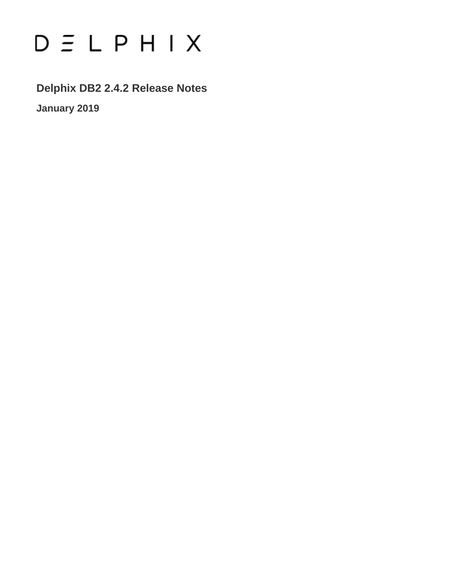# $D \subseteq L$   $P$   $H$   $I$   $X$

**Delphix DB2 2.4.2 Release Notes**

**January 2019**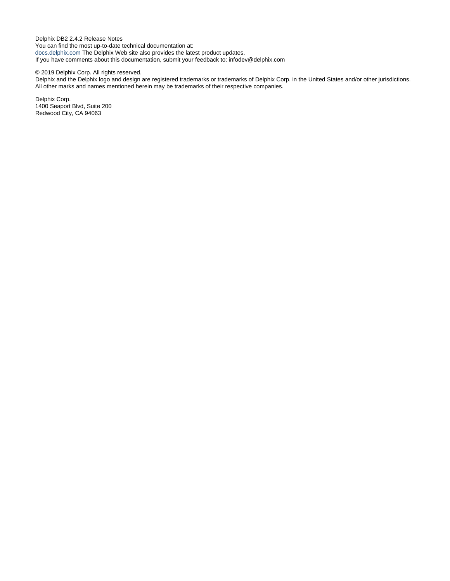Delphix DB2 2.4.2 Release Notes You can find the most up-to-date technical documentation at: [docs.delphix.com](http://docs.delphix.com) The Delphix Web site also provides the latest product updates. If you have comments about this documentation, submit your feedback to: infodev@delphix.com

#### © 2019 Delphix Corp. All rights reserved.

Delphix and the Delphix logo and design are registered trademarks or trademarks of Delphix Corp. in the United States and/or other jurisdictions. All other marks and names mentioned herein may be trademarks of their respective companies.

Delphix Corp. 1400 Seaport Blvd, Suite 200 Redwood City, CA 94063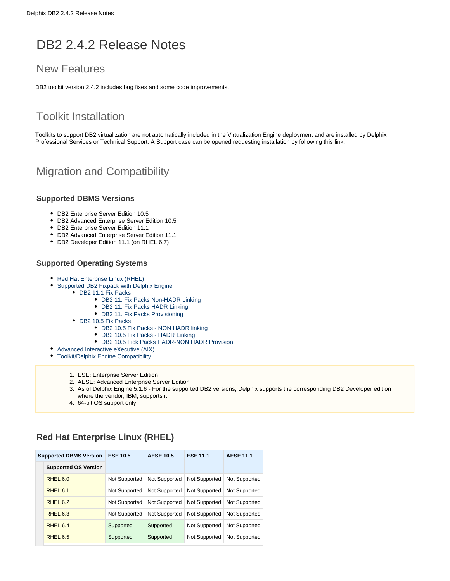# DB2 2.4.2 Release Notes

## New Features

DB2 toolkit version 2.4.2 includes bug fixes and some code improvements.

# Toolkit Installation

Toolkits to support DB2 virtualization are not automatically included in the Virtualization Engine deployment and are installed by Delphix Professional Services or Technical Support. A Support case can be opened requesting installation by following this [link](http://support-tickets.delphix.com/).

# Migration and Compatibility

#### **Supported DBMS Versions**

- DB2 Enterprise Server Edition 10.5
- DB2 Advanced Enterprise Server Edition 10.5
- DB2 Enterprise Server Edition 11.1
- DB2 Advanced Enterprise Server Edition 11.1
- DB2 Developer Edition 11.1 (on RHEL 6.7)

#### **Supported Operating Systems**

- Red Hat Enterprise Linux (RHEL)
- **[Supported DB2 Fixpack with Delphix Engine](#page-3-0)** 
	- DB2 11.1 Fix Packs
		- [DB2 11. Fix Packs Non-HADR Linking](#page-3-2)
		- [DB2 11. Fix Packs HADR Linking](#page-3-3)
		- [DB2 11. Fix Packs Provisioning](#page-3-4)
	- [DB2 10.5 Fix Packs](#page-3-5)
		- [DB2 10.5 Fix Packs NON HADR linking](#page-3-6)
		- [DB2 10.5 Fix Packs HADR Linking](#page-4-0)
		- [DB2 10.5 Fick Packs HADR-NON HADR Provision](#page-4-1)
- [Advanced Interactive eXecutive \(AIX\)](#page-4-2)
- [Toolkit/Delphix Engine Compatibility](#page-4-3)
	- 1. ESE: Enterprise Server Edition
	- 2. AESE: Advanced Enterprise Server Edition
	- 3. As of Delphix Engine 5.1.6 For the supported DB2 versions, Delphix supports the corresponding DB2 Developer edition where the vendor, IBM, supports it
	- 4. 64-bit OS support only

#### <span id="page-2-0"></span>**Red Hat Enterprise Linux (RHEL)**

| <b>Supported DBMS Version</b> |                             | <b>ESE 10.5</b> | <b>AESE 10.5</b> | <b>ESE 11.1</b> | <b>AESE 11.1</b> |
|-------------------------------|-----------------------------|-----------------|------------------|-----------------|------------------|
|                               | <b>Supported OS Version</b> |                 |                  |                 |                  |
|                               | RHEL <sub>6.0</sub>         | Not Supported   | Not Supported    | Not Supported   | Not Supported    |
|                               | RHEL <sub>6.1</sub>         | Not Supported   | Not Supported    | Not Supported   | Not Supported    |
|                               | RHEL <sub>6.2</sub>         | Not Supported   | Not Supported    | Not Supported   | Not Supported    |
|                               | RHEL <sub>6.3</sub>         | Not Supported   | Not Supported    | Not Supported   | Not Supported    |
|                               | RHEL <sub>6.4</sub>         | Supported       | Supported        | Not Supported   | Not Supported    |
|                               | RHEL <sub>6.5</sub>         | Supported       | Supported        | Not Supported   | Not Supported    |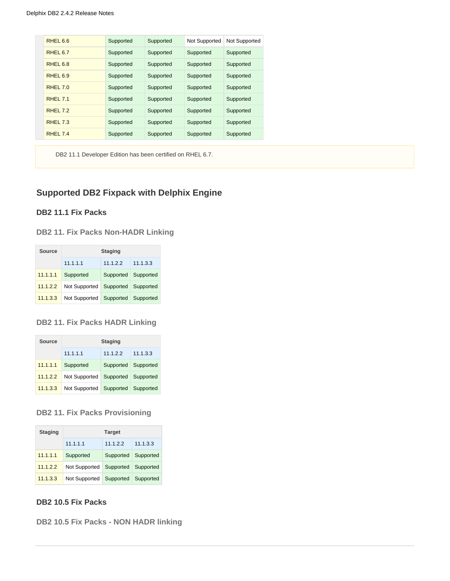| RHEL 6.6            | Supported | Supported | Not Supported | Not Supported |
|---------------------|-----------|-----------|---------------|---------------|
| RHEL <sub>6.7</sub> | Supported | Supported | Supported     | Supported     |
| RHEL <sub>6.8</sub> | Supported | Supported | Supported     | Supported     |
| RHEL <sub>6.9</sub> | Supported | Supported | Supported     | Supported     |
| RHEL 7.0            | Supported | Supported | Supported     | Supported     |
| RHEL 7.1            | Supported | Supported | Supported     | Supported     |
| RHEL 7.2            | Supported | Supported | Supported     | Supported     |
| <b>RHEL 7.3</b>     | Supported | Supported | Supported     | Supported     |
| <b>RHEL 7.4</b>     | Supported | Supported | Supported     | Supported     |

DB2 11.1 Developer Edition has been certified on RHEL 6.7.

#### <span id="page-3-0"></span>**Supported DB2 Fixpack with Delphix Engine**

#### <span id="page-3-1"></span>**DB2 11.1 Fix Packs**

<span id="page-3-2"></span>**DB2 11. Fix Packs Non-HADR Linking**

| Source   | <b>Staging</b> |                     |           |  |  |  |
|----------|----------------|---------------------|-----------|--|--|--|
|          | 11.1.1.1       | 11122               | 11.1.3.3  |  |  |  |
| 11.1.1.1 | Supported      | Supported           | Supported |  |  |  |
| 11.1.2.2 | Not Supported  | Supported Supported |           |  |  |  |
| 11.1.3.3 | Not Supported  | Supported Supported |           |  |  |  |

#### <span id="page-3-3"></span>**DB2 11. Fix Packs HADR Linking**

| Source   | <b>Staging</b>          |           |           |
|----------|-------------------------|-----------|-----------|
|          | 11.1.1.1                | 11.1.2.2  | 11.1.3.3  |
| 11.1.1.1 | Supported               | Supported | Supported |
| 11.1.2.2 | Not Supported           | Supported | Supported |
| 11.1.3.3 | Not Supported Supported |           | Supported |

#### <span id="page-3-4"></span>**DB2 11. Fix Packs Provisioning**

| <b>Staging</b> | <b>Target</b> |           |           |  |  |  |
|----------------|---------------|-----------|-----------|--|--|--|
|                | 11.1.1.1      | 11.1.2.2  | 11.1.3.3  |  |  |  |
| 11.1.1.1       | Supported     | Supported | Supported |  |  |  |
| 11.1.2.2       | Not Supported | Supported | Supported |  |  |  |
| 11.1.3.3       | Not Supported | Supported | Supported |  |  |  |

#### <span id="page-3-5"></span>**DB2 10.5 Fix Packs**

<span id="page-3-6"></span>**DB2 10.5 Fix Packs - NON HADR linking**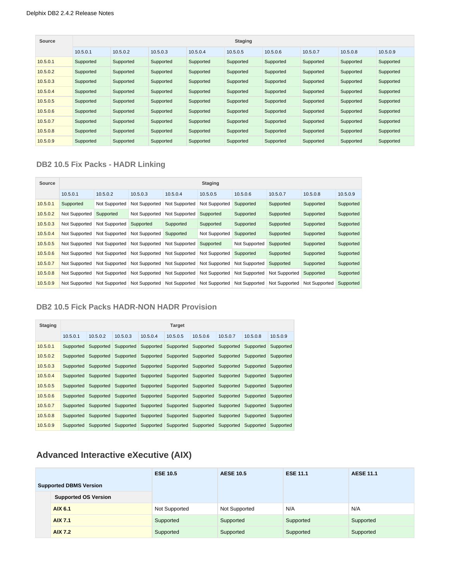| Source   | <b>Staging</b> |           |           |           |           |           |           |           |           |  |
|----------|----------------|-----------|-----------|-----------|-----------|-----------|-----------|-----------|-----------|--|
|          | 10.5.0.1       | 10.5.0.2  | 10.5.0.3  | 10.5.0.4  | 10.5.0.5  | 10.5.0.6  | 10.5.0.7  | 10.5.0.8  | 10.5.0.9  |  |
| 10.5.0.1 | Supported      | Supported | Supported | Supported | Supported | Supported | Supported | Supported | Supported |  |
| 10.5.0.2 | Supported      | Supported | Supported | Supported | Supported | Supported | Supported | Supported | Supported |  |
| 10.5.0.3 | Supported      | Supported | Supported | Supported | Supported | Supported | Supported | Supported | Supported |  |
| 10.5.0.4 | Supported      | Supported | Supported | Supported | Supported | Supported | Supported | Supported | Supported |  |
| 10.5.0.5 | Supported      | Supported | Supported | Supported | Supported | Supported | Supported | Supported | Supported |  |
| 10.5.0.6 | Supported      | Supported | Supported | Supported | Supported | Supported | Supported | Supported | Supported |  |
| 10.5.0.7 | Supported      | Supported | Supported | Supported | Supported | Supported | Supported | Supported | Supported |  |
| 10.5.0.8 | Supported      | Supported | Supported | Supported | Supported | Supported | Supported | Supported | Supported |  |
| 10.5.0.9 | Supported      | Supported | Supported | Supported | Supported | Supported | Supported | Supported | Supported |  |

#### <span id="page-4-0"></span>**DB2 10.5 Fix Packs - HADR Linking**

| Source   | <b>Staging</b> |               |               |               |               |               |               |               |           |  |  |
|----------|----------------|---------------|---------------|---------------|---------------|---------------|---------------|---------------|-----------|--|--|
|          | 10.5.0.1       | 10.5.0.2      | 10.5.0.3      | 10.5.0.4      | 10.5.0.5      | 10.5.0.6      | 10.5.0.7      | 10.5.0.8      | 10.5.0.9  |  |  |
| 10.5.0.1 | Supported      | Not Supported | Not Supported | Not Supported | Not Supported | Supported     | Supported     | Supported     | Supported |  |  |
| 10.5.0.2 | Not Supported  | Supported     | Not Supported | Not Supported | Supported     | Supported     | Supported     | Supported     | Supported |  |  |
| 10.5.0.3 | Not Supported  | Not Supported | Supported     | Supported     | Supported     | Supported     | Supported     | Supported     | Supported |  |  |
| 10.5.0.4 | Not Supported  | Not Supported | Not Supported | Supported     | Not Supported | Supported     | Supported     | Supported     | Supported |  |  |
| 10.5.0.5 | Not Supported  | Not Supported | Not Supported | Not Supported | Supported     | Not Supported | Supported     | Supported     | Supported |  |  |
| 10.5.0.6 | Not Supported  | Not Supported | Not Supported | Not Supported | Not Supported | Supported     | Supported     | Supported     | Supported |  |  |
| 10.5.0.7 | Not Supported  | Not Supported | Not Supported | Not Supported | Not Supported | Not Supported | Supported     | Supported     | Supported |  |  |
| 10.5.0.8 | Not Supported  | Not Supported | Not Supported | Not Supported | Not Supported | Not Supported | Not Supported | Supported     | Supported |  |  |
| 10.5.0.9 | Not Supported  | Not Supported | Not Supported | Not Supported | Not Supported | Not Supported | Not Supported | Not Supported | Supported |  |  |

#### <span id="page-4-1"></span>**DB2 10.5 Fick Packs HADR-NON HADR Provision**

| <b>Staging</b> | <b>Target</b> |                     |                                                                                           |          |                                                             |           |           |                     |           |  |  |
|----------------|---------------|---------------------|-------------------------------------------------------------------------------------------|----------|-------------------------------------------------------------|-----------|-----------|---------------------|-----------|--|--|
|                | 10.5.0.1      | 10.5.0.2            | 10.5.0.3                                                                                  | 10.5.0.4 | 10.5.0.5                                                    | 10.5.0.6  | 10.5.0.7  | 10.5.0.8            | 10.5.0.9  |  |  |
| 10.5.0.1       |               | Supported Supported |                                                                                           |          | Supported Supported Supported Supported Supported Supported |           |           |                     | Supported |  |  |
| 10.5.0.2       | Supported     | Supported           |                                                                                           |          | Supported Supported Supported                               | Supported | Supported | Supported           | Supported |  |  |
| 10.5.0.3       | Supported     |                     | Supported Supported Supported Supported Supported Supported Supported                     |          |                                                             |           |           |                     | Supported |  |  |
| 10.5.0.4       | Supported     | Supported           |                                                                                           |          | Supported Supported Supported Supported Supported           |           |           | Supported           | Supported |  |  |
| 10.5.0.5       |               | Supported Supported |                                                                                           |          | Supported Supported Supported Supported Supported Supported |           |           |                     | Supported |  |  |
| 10.5.0.6       |               |                     | Supported Supported Supported Supported Supported Supported Supported Supported           |          |                                                             |           |           |                     | Supported |  |  |
| 10.5.0.7       | Supported     | Supported           |                                                                                           |          | Supported Supported Supported                               | Supported |           | Supported Supported | Supported |  |  |
| 10.5.0.8       |               |                     | Supported Supported Supported Supported Supported Supported Supported Supported Supported |          |                                                             |           |           |                     |           |  |  |
| 10.5.0.9       |               |                     | Supported Supported Supported Supported Supported Supported Supported Supported Supported |          |                                                             |           |           |                     |           |  |  |

# <span id="page-4-2"></span>**Advanced Interactive eXecutive (AIX)**

<span id="page-4-3"></span>

|  |                               | <b>ESE 10.5</b> | <b>AESE 10.5</b> | <b>ESE 11.1</b> | <b>AESE 11.1</b> |
|--|-------------------------------|-----------------|------------------|-----------------|------------------|
|  | <b>Supported DBMS Version</b> |                 |                  |                 |                  |
|  | <b>Supported OS Version</b>   |                 |                  |                 |                  |
|  | AIX 6.1                       | Not Supported   | Not Supported    | N/A             | N/A              |
|  | <b>AIX 7.1</b>                | Supported       | Supported        | Supported       | Supported        |
|  | <b>AIX 7.2</b>                | Supported       | Supported        | Supported       | Supported        |